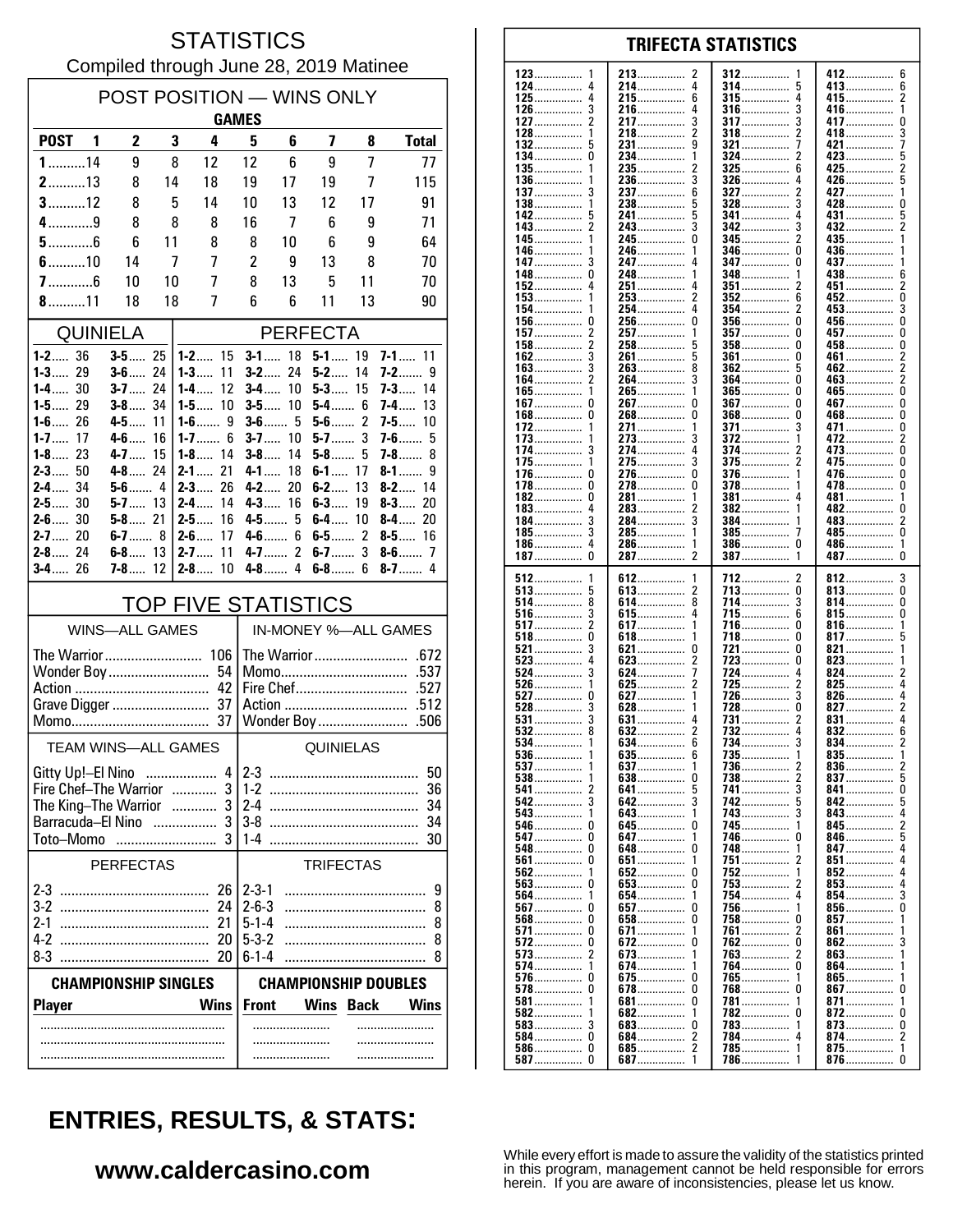#### **STATISTICS** Compiled through June 28, 2019 Matinee

| POST POSITION - WINS ONLY<br><b>GAMES</b>     |                          |          |                                |                                   |                         |                       |                |                               |  |
|-----------------------------------------------|--------------------------|----------|--------------------------------|-----------------------------------|-------------------------|-----------------------|----------------|-------------------------------|--|
| <b>POST</b><br>1                              | $\mathbf{2}$             | 3        | 4                              | 5                                 | 6                       | 7                     | 8              | <b>Total</b>                  |  |
| $1$ 14                                        | 9                        | 8        | 12                             | 12                                | 6                       | 9                     | 7              | 77                            |  |
| $2$ 13                                        | 8                        | 14       | 18                             | 19                                | 17                      | 19                    | 7              | 115                           |  |
| $3$ 12                                        | 8                        | 5        | 14                             | 10                                | 13                      | 12                    | 17             | 91                            |  |
| $4$ 9                                         | 8                        | 8        | 8                              | 16                                | 7                       | 6                     | 9              | 71                            |  |
| $5$ 6<br>$6$ 10                               | 6                        | 11       | 8<br>7                         | 8                                 | 10                      | 6                     | 9              | 64                            |  |
| $7$ 6                                         | 14<br>10                 | 7<br>10  | 7                              | 2<br>8                            | 9<br>13                 | 13<br>5               | 8<br>11        | 70<br>70                      |  |
| $8$ 11                                        | 18                       | 18       | 7                              | 6                                 | 6                       | 11                    | 13             | 90                            |  |
| <b>QUINIELA</b>                               |                          |          |                                | <b>PERFECTA</b>                   |                         |                       |                |                               |  |
| $1 - 2$ 36                                    | $3 - 5$ 25               |          | $1 - 2$ 15                     |                                   | $3 - 1$ 18              | $5 - 1$ 19            |                | $7 - 1$ 11                    |  |
| $1 - 3$ 29<br>$1 - 4$ 30                      | $3 - 6$ 24<br>$3 - 7$ 24 |          | $1 - 3$<br>11<br>$1 - 4$<br>12 | $3 - 2$<br>3-4……                  | 24<br>10                | $5 - 2$<br>$5 - 3$ 15 | 14             | 7-2……<br>9<br>7-3<br>-14      |  |
| 1-5… 29                                       | $3 - 8$ 34               |          | 10<br>$1-5$                    | $3-5$                             | 10                      | $5-4$ 6               |                | 7-4…<br>13                    |  |
| $1 - 6$ 26                                    | $4 - 5$ 11               |          | $1-6$<br>9                     |                                   |                         | $5-6$                 | $\overline{c}$ | $7 - 5$ 10                    |  |
| $1 - 7$<br>17<br>$1 - 8$ 23                   | $4 - 6$<br>4-7           | 16<br>15 | $1 - 7$<br>6<br><b>1-8</b> 14  | $3 - 7$<br>$3 - 8$                | 10<br>14                | $5-7$<br>$5-8$        | 3<br>5         | <b>7-6</b><br>5<br>7-8……<br>8 |  |
| $2 - 3$ 50                                    | $4 - 8$ 24               |          | $2 - 1$ 21                     | $4 - 1$                           | 18                      | $6-1$ 17              |                | $8-1$<br>9                    |  |
| 34<br>$2-4$                                   |                          |          | $2-3$<br>26                    | $4-2$                             | 20                      | $6 - 2$               | 13             | $8 - 2$ 14                    |  |
| $2 - 5$ 30<br>$2 - 6$ 30                      | $5 - 7$ 13<br>$5 - 8$ 21 |          | $2 - 4$<br>14<br>$2 - 5$<br>16 |                                   | $4 - 3$ 16<br>$4 - 5$ 5 | $6 - 3$<br>6-4        | 19<br>10       | $8 - 3$<br>20<br>$8 - 4$ 20   |  |
| $2 - 7$ 20                                    | 6-7 8                    |          | $2 - 6$<br>17                  | $4-6$                             | 6                       | $6 - 5$ 2             |                | $8 - 5$ 16                    |  |
| $2 - 8$ 24                                    | $6 - 8$ 13               |          | 11<br>$2 - 7$                  | $4 - 7$                           | $\overline{2}$          | $6-7$                 | 3              |                               |  |
| $3 - 4$ 26                                    | $7 - 8$ 12               |          | 10<br>$2-8$                    | $4-8$                             | 4                       | $6-8$                 | 6              | $8-7$<br>4                    |  |
|                                               |                          |          | <b>TOP FIVE STATISTICS</b>     |                                   |                         |                       |                |                               |  |
| <b>WINS-ALL GAMES</b>                         |                          |          |                                | IN-MONEY %-ALL GAMES              |                         |                       |                |                               |  |
|                                               |                          |          |                                |                                   |                         |                       |                |                               |  |
| Wonder Boy                                    |                          |          | 54<br>42                       | .537<br>Momo<br>Fire Chef<br>.527 |                         |                       |                |                               |  |
|                                               |                          |          | Action<br>.512                 |                                   |                         |                       |                |                               |  |
|                                               |                          |          | 37                             |                                   |                         | Wonder Boy            |                | .506                          |  |
| <b>TEAM WINS-ALL GAMES</b>                    |                          |          |                                | <b>QUINIELAS</b>                  |                         |                       |                |                               |  |
| Gitty Up!-El Nino                             |                          |          |                                | $4 2-3$                           |                         |                       |                | 50                            |  |
| Fire Chef-The Warrior<br>The King-The Warrior |                          |          | 3                              | $1-2$<br>$2 - 4$                  |                         |                       |                | 36<br>34                      |  |
| Barracuda-El Nino                             |                          | $\cdots$ | 3                              | $3-8$                             |                         |                       |                | 34                            |  |
| Toto-Momo                                     |                          |          |                                | $1-4$                             |                         |                       |                | 30                            |  |
|                                               | <b>PERFECTAS</b>         |          |                                |                                   |                         | <b>TRIFECTAS</b>      |                |                               |  |
|                                               |                          |          | 26                             | $2-3-1$                           |                         |                       |                | 9                             |  |
|                                               |                          |          | 24<br>21                       | $2 - 6 - 3$<br>$5 - 1 - 4$        |                         |                       |                | 8<br>8                        |  |
| 4-2                                           |                          |          | 20                             | $5-3-2$                           |                         |                       |                | 8                             |  |
| $8-3$                                         |                          |          | 20                             | $6 - 1 - 4$                       |                         |                       |                | 8                             |  |
| <b>CHAMPIONSHIP SINGLES</b>                   |                          |          |                                | <b>CHAMPIONSHIP DOUBLES</b>       |                         |                       |                |                               |  |
| <b>Player</b>                                 |                          |          | <b>Wins</b>                    | <b>Front</b>                      |                         | <b>Wins Back</b>      |                | Wins                          |  |
|                                               |                          |          |                                |                                   |                         |                       |                |                               |  |
|                                               |                          |          |                                |                                   |                         |                       |                |                               |  |

#### 123 213 412 6 2 312 124 214................ 4 314 ................ 5 413............... 6  $\overline{4}$  $215$ ................ 6  $\overline{4}$  $\boldsymbol{2}$ 125 315 415................ . . . . . . . . . . . . . . . . . . . . . . . . . . . . . . . 126 3 216. 4 316 3 416 1 . . . . . . . . . . . . . . . .............. . . . . . . . . . . . . . . . ............... 127  $\overline{2}$ 217 3 317 3 417 0 . . . . . . . . . . . . . . . . . . . . . . . . . . . . . . . . . . . . . . . . . . 128 218  $\overline{\phantom{a}}$ 318  $\overline{\phantom{a}}$ 418 3 1  $\overline{g}$ 132 231................ 321 .................  $421$ 5 134.  $\pmb{0}$  $234$ ................  $324$  ................ 2 423...... 135. 235................. 325 6  $425$ 236 3 326 426................ 5 136................ 4 . . . . . . . . . . . . . . . ................ 137 ્ર 237  $\mathbf{6}$ 327 2 427  $\mathbf{1}$ . . . . . . . . . . . . . . . 138 238 .5 328 3 428  $\Omega$ . . . . . . . . . . . . . . . . . . . . . . . . . 142 241................ 5  $341$  ................ 5 5 431  $\bar{2}$  $\overline{3}$ 342 3 Ō 245................ 345  $435...$ 145. 2 346 436. 146 246 . . . . . . . . . . . . . . . . . . . . . . . . . . . . . . . . . . . . . . . . . . . . 147  $\mathbf{3}$ 247  $\overline{a}$ 347  $\Omega$ 437 . . . . . . . . . . . . . . . . . . . . . . . . . . . . . . . . . . . . . . . . . . . . 148 248 348 438................ 0 6 .............. . . . . . . . . . . . . . . . . . . . . . . . . . . . . . . . . 152 4 251 351 451  $\overline{2}$ 4 2 . . . . . . . . . . . . . . . . . . . . . . . . . . . . . . . . . . . . . . . . . . . . . . . .  $\Omega$ 153 253 2 352 ĥ 452 3 154 254. 2  $453$ ....... 354. Ö  $\tilde{0}$  $156$ ................  $\Omega$  $\Omega$  $256$  $356$  $456$  $157$ ................. 257.................  $357$  ................. 457................  $\mathbf{0}$  $\overline{2}$  $\mathbf{1}$ 458................  $\overline{\mathbf{c}}$ 258................ 5  $\pmb{0}$ 158 358  $\Omega$ . . . . . . . . . . . . . . . . . . . . . . . . . . . . . . . . 162 3 261 5 361  $\Omega$ 461  $\overline{\phantom{a}}$ . . . . . . . . . . . . . . . . . . . . . . . . . . . . . . . . . . . . . . . . . . . . . . . . . . . . . . . . . . . . . . 163  $\mathbf{3}$ 263 8 362 5 462  $\frac{2}{2}$ . . . . . . . . . . . . . . . . . . . . . . . . . . . . . . . . . . . . . . . . . .  $\frac{5}{2}$ ŏ 264................  $364$ ................ 164  $463...$ 3 265............... ō 165................ ñ  $465$ 1  $\mathbf{1}$  $\dot{0}$  $\Omega$  $\overline{0}$  $\mathbf 0$  $267$ ................  $367$  ................  $467$ ............... 167. . . . . . . . . . . . . . . . Ō Ō Ō 168  $\mathbf 0$ 268 368 468 . . . . . . . . . . . . . . . . . . . . . . . . . . . . . . . . . . . . . . . . . . . . . . . . . . . . . . . . . . . . . 172. 271. 371................ 3 471................  $\pmb{0}$ -1 ............... . . . . . . . . . . . . . . 273 372  $\overline{c}$ 173 472 . . . . . . . . . . . . . . . .............. . . . . . . . . . . . . . . . . . . . . . . . . . . . . . . . 174 3 274  $\pmb{4}$ 374 473  $\pmb{0}$ . . . . . . . . . . . . . . . . . . . . . . . . . . . . . . . . . . . . . . . . . . . . . . . . . . . . . . . . . . . . . 175 275 3 375 2 475.  $\Omega$ . . . . . . . . . . . . . . . . . . . . . . . . . . . . . . . . . . . . . . . . . . . . .............. 476.......  $\mathbf{0}$  $\Omega$ 376. 176.  $\Omega$ 276. 1 ŏ ŏ  $\Omega$ 278................ 478  $178$ ................  $378$ 182.  $\Omega$ 281................. 381 481 -1 . . . . . . . . . . . . . . . . . . . . . . . . . . . . . . .  $183$ .................  $\overline{2}$  $\pmb{0}$ 4 283 382  $482$ ................ . . . . . . . . . . . . . . . . . . . . . . . . . . . . . . . 184 3 284  $\overline{3}$ 384 483  $\overline{\phantom{a}}$ . . . . . . . . . . . . . . . . . . . . . . . . . . . . . . . . . . . . . . . . . . . . . . . . . . . . . . . . . . . . . . . .  $485$ ................ 185 3 285 1 385  $\Omega$ . . . . . . . . . . . . . . . . . . . . . . . . . . . . . . . . . . . . . . . . . . . 186  $\overline{4}$ 286. 386  $\Omega$  $486$ ................  $\mathbf{1}$ . . . . . . . . . . . . . . . . . . . . . . . . . . . . . . . . . . . . . . . . . . . . .  $\dot{0}$  $\dot{0}$  $\overline{2}$  $187$ ................. 287 — 287 387 387  $\mathbf{1}$ 512 612 712  $812$ ....... 3 . . . . . . . . . . . . . . . . . . . . . . . . 513 613................  $\overline{2}$  $\pmb{0}$  $\pmb{0}$ 5 713 813................ . . . . . . . . . . . . . . . . . . . . . . . . . . . . . . . . 514 8 614 -8 714 3 814 0 . . . . . . . . . . . . . . . . . . . . . . . . . . . . . . . . . . . . . . . . . . . . . . . . . . . . . . . . . . . . . 516  $\frac{3}{2}$ 615  $\overline{4}$ 715 **6** 815 0 . . . . . . . . . . . . . . . . . . . . . . . . . . . . . . . . . . . . . . . . . .  $\Omega$ 517................ 617.................  $\mathbf{1}$ 716.  $816...$ 1  $518$ ................  $\Omega$ 618.................  $718$ ................  $\Omega$ 817 521 3  $\pmb{0}$ 721  $\theta$ 821 621 . . . . . . . . . . . . . . . . . . . . . . . . . . . . . . . . . . . . . . . . . . . . .  $823$ 523 Δ 623 2 723  $\theta$ . . . . . . . . . . . . . . . .............. . . . . . . . . . . . . . . . . . . . . . . . . . . . . . . . 524 3 624 7 724 4 824 . . . . . . . . . . . . . . . . . . . . . . . . . . . . . . . . . . . . . . . . . . . . . 725<br>726................ 526 625  $\mathcal{P}$ 2 825  $\Delta$ . . . . . . . . . . . . . . . . . . . . . . . . . . . . . . 627................ ্ 527  $\Omega$ 1 826. 528................  $628$  $728$ ................. Ō 3  $827$  $531$ ................ 631................ 731 831 . . . . . . . . . . . . . . . . 732............... 532................ 632................  $\overline{2}$  $\overline{6}$ 8  $\overline{a}$  $832$ ................  $534$ ................ 634................ 6 3  $834...$ 635 735 536 6 835 . . . . . . . . . . . . . . . . . . . . . . . . . . . . . . . . . . . . . . . . . . . . . . . . . . . . . . . . . . . . . . 537  $\overline{1}$ 637  $\mathbf{1}$ 736 836 738 538 638 0 . . . . . . . . . . . . . 2 837. 5 . . . . . . . . . . . . . . . . . . . . . . . . . . Ō 641............... 741................ 541. -2 5 3  $841...$ 642................. 742................. 542. 3 3 5 842 . . . . . . . . . . . . . . . 543. 743. 3 643................ 843 . . . . . . . . . . . . . . 546................ 645.................  $\mathbf 0$ 745.  $845$ ................ 0 . . . . . . . . . . . . . . . . 547  $\pmb{0}$ 647 746 846 5  $\Omega$ . . . . . . . . . . . . . . . . . . . . . . . . . . . . . . . . . . . . . . . . . . . . . . 548  $\Omega$ 648  $\Omega$ 748 1 847 . . . . . . . . . . . . . . . . . . . . . . . . . . . . . 561  $\Omega$ 651.  $\mathbf{1}$ 751  $851...$  $\dot{0}$ 852 562 652................ 1 563................ ó 653.................  $\overline{0}$ 753................ 853................ 564 654 754 854 . . . . . . . . . . . . . . . . . . . . . . . . . . . . . . 856................ 567................  $\Omega$ 657................  $\overline{a}$ 756  $\Omega$ . . . . . . . . . . . . . . . . 568  $\mathbf{0}$ 658  $\Omega$ 758 n 857 . . . . . . . . . . . . . . . . . . . . . . . . . . . .  $861$ ......  $571$ ................ 0 671 761 2 ............... 572 0 672 0 762 <sup>0</sup> 862 3 . . . . . . . . . . . . . . . . . . . . . . . . . . . . . . . . . . . . . . . . . 573  $\overline{\phantom{a}}$ 673 763.  $\overline{\phantom{a}}$ 863  $\mathbf{1}$ ō  $574$ ................ 674................ 764.................  $864$ ....... -1 675.  $\pmb{0}$ 765. 865................. . . . . . . . . . . . . . . . . . . . . . . . . . . . . . . -1 578  $\Omega$ 678  $\Omega$ 768  $\theta$  $867$  $\mathbf 0$ . . . . . . . . . . . . . . . . . . . . . . . . . . . . . .  $581$ ................ 681.  $\pmb{0}$ 781 871 . . . . . . . . . . . . . . . . . . . . . . . . . . . . . . . . . . . . . . . . . . . . . . . 582 682 782  $\Omega$ 872  $\Omega$ 1 . . . . . . . . . . . . . . . . . . . . . . . . . . . . . . . . . . . . . . . . . . . 583 3 683  $\Omega$ 783 873  $\Omega$ 1 . . . . . . . . . . . . . . . . . . . . . . . . . . . . . . . . . . . . . . . . . . . . . . . . . . . .  $\frac{8}{2}$ Ŏ  $584$ ................ 684................  $\overline{\phantom{a}}$ 784................ 874................ 4 586............... 685................  $\mathbf 0$  $\overline{2}$  $785$ ................ 875................  $\mathbf{1}$  $\mathbf{1}$ 587.  $\Omega$ 687................. 786 876................  $\Omega$  $\mathbf{1}$

**TRIFECTA STATISTICS** 

# **ENTRIES, RESULTS, & STATS:**

### www.caldercasino.com

While every effort is made to assure the validity of the statistics printed in this program, management cannot be held responsible for errors herein. If you are aware of inconsistencies, please let us know.